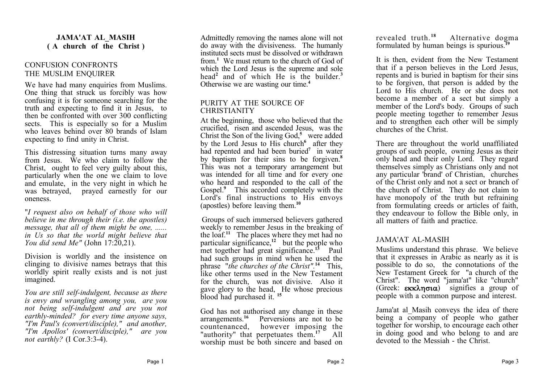## **JAMA'AT AL\_MASIH ( A church of the Christ )**

## CONFUSION CONFRONTS THE MUSLIM ENQUIRER

We have had many enquiries from Muslims. One thing that struck us forcibly was how confusing it is for someone searching for the truth and expecting to find it in Jesus, to then be confronted with over 300 conflicting sects. This is especially so for a Muslim who leaves behind over 80 brands of Islam expecting to find unity in Christ.

This distressing situation turns many away from Jesus. We who claim to follow the Christ, ought to feel very guilty about this, particularly when the one we claim to love and emulate, in the very night in which he was betrayed, prayed earnestly for our oneness.

"*I request also on behalf of those who will believe in me through their (i.e. the apostles) message, that all of them might be one, ...... in Us so that the world might believe that You did send Me"* (John 17:20,21).

Division is worldly and the insistence on clinging to divisive names betrays that this worldly spirit really exists and is not just imagined.

*You are still self-indulgent, because as there is envy and wrangling among you, are you not being self-indulgent and are you not earthly-minded? for every time anyone says, "I'm Paul's (convert/disciple)," and another, "I'm Apollos' (convert/disciple)," are you not earthly?* (I Cor.3:3-4).

Admittedly removing the names alone will not do away with the divisiveness. The humanly instituted sects must be dissolved or withdrawn from.**<sup>1</sup>** We must return to the church of God of which the Lord Jesus is the supreme and sole head**<sup>2</sup>** and of which He is the builder.**<sup>3</sup>** Otherwise we are wasting our time.**<sup>4</sup>**

## PURITY AT THE SOURCE OF **CHRISTIANITY**

At the beginning, those who believed that the crucified, risen and ascended Jesus, was the Christ the Son of the living God,**<sup>5</sup>** were added by the Lord Jesus to His church<sup>6</sup> after they had repented and had been buried**<sup>7</sup>** in water by baptism for their sins to be forgiven.**<sup>8</sup>** This was not a temporary arrangement but was intended for all time and for every one who heard and responded to the call of the Gospel.<sup>9</sup> This accorded completely with the Lord's final instructions to His envoys (apostles) before leaving them.**<sup>10</sup>**

Groups of such immersed believers gathered weekly to remember Jesus in the breaking of the loaf.**<sup>11</sup>** The places where they met had no particular significance,**<sup>12</sup>** but the people who met together had great significance.**<sup>13</sup>** Paul had such groups in mind when he used the phrase "*the churches of the Christ".***<sup>14</sup>** This, like other terms used in the New Testament for the church, was not divisive. Also it gave glory to the head, He whose precious blood had purchased it. **<sup>15</sup>**

God has not authorised any change in these arrangements.**<sup>16</sup>** Perversions are not to be countenanced, however imposing the "authority" that perpetuates them.**<sup>17</sup>** All worship must be both sincere and based on revealed truth<sup>18</sup> Alternative dogma formulated by human beings is spurious.**<sup>19</sup>**

It is then, evident from the New Testament that if a person believes in the Lord Jesus, repents and is buried in baptism for their sins to be forgiven, that person is added by the Lord to His church. He or she does not become a member of a sect but simply a member of the Lord's body. Groups of such people meeting together to remember Jesus and to strengthen each other will be simply churches of the Christ.

There are throughout the world unaffiliated groups of such people, owning Jesus as their only head and their only Lord. They regard themselves simply as Christians only and not any particular 'brand' of Christian, churches of the Christ only and not a sect or branch of the church of Christ. They do not claim to have monopoly of the truth but refraining from formulating creeds or articles of faith, they endeavour to follow the Bible only, in all matters of faith and practice.

## JAMA'AT AL-MASIH

Muslims understand this phrase. We believe that it expresses in Arabic as nearly as it is possible to do so, the connotations of the New Testament Greek for "a church of the Christ". The word "jama'at" like "church" (Greek:  $\epsilon \kappa \kappa \lambda \eta \sigma \iota \alpha$ ) signifies a group of people with a common purpose and interest.

Jama'at al\_Masih conveys the idea of there being a company of people who gather together for worship, to encourage each other in doing good and who belong to and are devoted to the Messiah - the Christ.